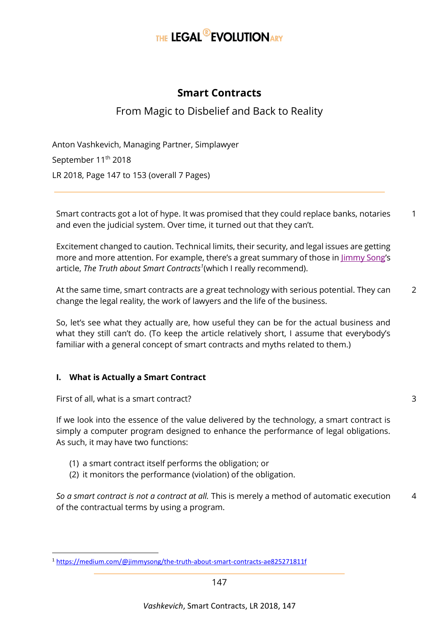# THE LEGAL<sup>®</sup>EVOLUTIONARY

# **Smart Contracts**

# From Magic to Disbelief and Back to Reality

Anton Vashkevich, Managing Partner, Simplawyer September 11<sup>th</sup> 2018 LR 2018, Page 147 to 153 (overall 7 Pages)

Smart contracts got a lot of hype. It was promised that they could replace banks, notaries and even the judicial system. Over time, it turned out that they can't. 1

Excitement changed to caution. Technical limits, their security, and legal issues are getting more and more attention. For example, there's a great summary of those in  $\lim_{y \to 0}$  Song's article, *The Truth about Smart Contracts<sup>1</sup>* (which I really recommend).

At the same time, smart contracts are a great technology with serious potential. They can change the legal reality, the work of lawyers and the life of the business.  $\overline{\phantom{0}}$ 

So, let's see what they actually are, how useful they can be for the actual business and what they still can't do. (To keep the article relatively short, I assume that everybody's familiar with a general concept of smart contracts and myths related to them.)

#### **I. What is Actually a Smart Contract**

First of all, what is a smart contract?

**.** 

If we look into the essence of the value delivered by the technology, a smart contract is simply a computer program designed to enhance the performance of legal obligations. As such, it may have two functions:

3

- (1) a smart contract itself performs the obligation; or
- (2) it monitors the performance (violation) of the obligation.

*So a smart contract is not a contract at all.* This is merely a method of automatic execution of the contractual terms by using a program. 4

<sup>1</sup> <https://medium.com/@jimmysong/the-truth-about-smart-contracts-ae825271811f>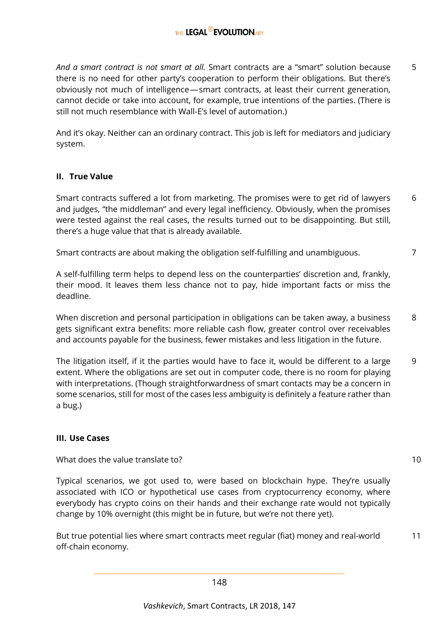*And a smart contract is not smart at all.* Smart contracts are a "smart" solution because there is no need for other party's cooperation to perform their obligations. But there's obviously not much of intelligence — smart contracts, at least their current generation, cannot decide or take into account, for example, true intentions of the parties. (There is still not much resemblance with Wall-E's level of automation.) 5

And it's okay. Neither can an ordinary contract. This job is left for mediators and judiciary system.

#### **II. True Value**

Smart contracts suffered a lot from marketing. The promises were to get rid of lawyers and judges, "the middleman" and every legal inefficiency. Obviously, when the promises were tested against the real cases, the results turned out to be disappointing. But still, there's a huge value that that is already available. 6

Smart contracts are about making the obligation self-fulfilling and unambiguous.

A self-fulfilling term helps to depend less on the counterparties' discretion and, frankly, their mood. It leaves them less chance not to pay, hide important facts or miss the deadline.

When discretion and personal participation in obligations can be taken away, a business gets significant extra benefits: more reliable cash flow, greater control over receivables and accounts payable for the business, fewer mistakes and less litigation in the future. 8

The litigation itself, if it the parties would have to face it, would be different to a large extent. Where the obligations are set out in computer code, there is no room for playing with interpretations. (Though straightforwardness of smart contacts may be a concern in some scenarios, still for most of the cases less ambiguity is definitely a feature rather than a bug.) 9

#### **III. Use Cases**

What does the value translate to?

Typical scenarios, we got used to, were based on blockchain hype. They're usually associated with ICO or hypothetical use cases from cryptocurrency economy, where everybody has crypto coins on their hands and their exchange rate would not typically change by 10% overnight (this might be in future, but we're not there yet).

But true potential lies where smart contracts meet regular (fiat) money and real-world off-chain economy. 11

10

7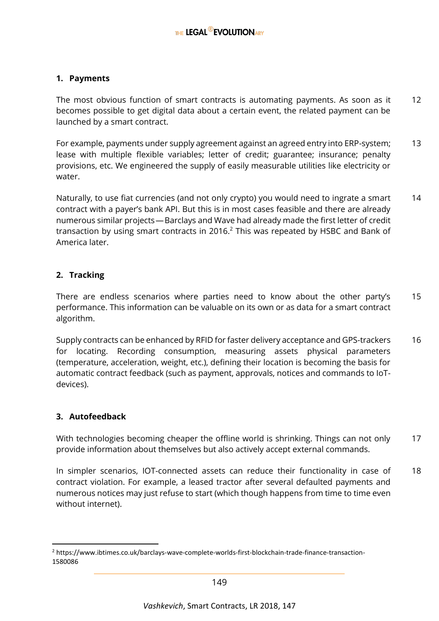#### **1. Payments**

The most obvious function of smart contracts is automating payments. As soon as it becomes possible to get digital data about a certain event, the related payment can be launched by a smart contract. 12

For example, payments under supply agreement against an agreed entry into ERP-system; lease with multiple flexible variables; letter of credit; guarantee; insurance; penalty provisions, etc. We engineered the supply of easily measurable utilities like electricity or water. 13

Naturally, to use fiat currencies (and not only crypto) you would need to ingrate a smart contract with a payer's bank API. But this is in most cases feasible and there are already numerous similar projects — Barclays and Wave had already made the first letter of credit transaction by using smart contracts in 2016.<sup>2</sup> This was repeated by HSBC and Bank of America later. 14

#### **2. Tracking**

There are endless scenarios where parties need to know about the other party's performance. This information can be valuable on its own or as data for a smart contract algorithm. 15

Supply contracts can be enhanced by RFID for faster delivery acceptance and GPS-trackers for locating. Recording consumption, measuring assets physical parameters (temperature, acceleration, weight, etc.), defining their location is becoming the basis for automatic contract feedback (such as payment, approvals, notices and commands to IoTdevices). 16

#### **3. Autofeedback**

1

With technologies becoming cheaper the offline world is shrinking. Things can not only provide information about themselves but also actively accept external commands. 17

In simpler scenarios, IOT-connected assets can reduce their functionality in case of contract violation. For example, a leased tractor after several defaulted payments and numerous notices may just refuse to start (which though happens from time to time even without internet). 18

<sup>2</sup> https://www.ibtimes.co.uk/barclays-wave-complete-worlds-first-blockchain-trade-finance-transaction-1580086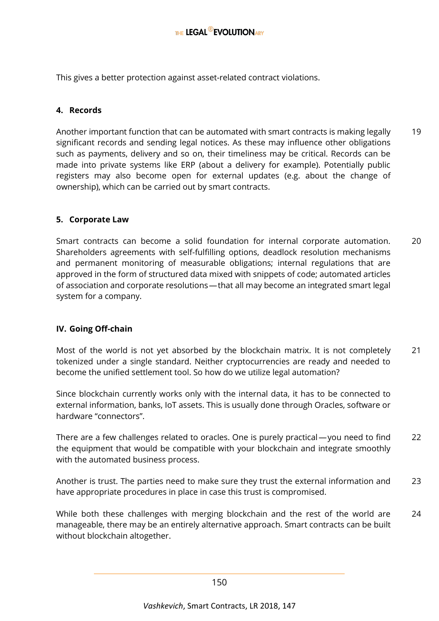This gives a better protection against asset-related contract violations.

#### **4. Records**

Another important function that can be automated with smart contracts is making legally significant records and sending legal notices. As these may influence other obligations such as payments, delivery and so on, their timeliness may be critical. Records can be made into private systems like ERP (about a delivery for example). Potentially public registers may also become open for external updates (e.g. about the change of ownership), which can be carried out by smart contracts. 19

#### **5. Corporate Law**

Smart contracts can become a solid foundation for internal corporate automation. Shareholders agreements with self-fulfilling options, deadlock resolution mechanisms and permanent monitoring of measurable obligations; internal regulations that are approved in the form of structured data mixed with snippets of code; automated articles of association and corporate resolutions — that all may become an integrated smart legal system for a company. 20

#### **IV. Going Off-chain**

Most of the world is not yet absorbed by the blockchain matrix. It is not completely tokenized under a single standard. Neither cryptocurrencies are ready and needed to become the unified settlement tool. So how do we utilize legal automation? 21

Since blockchain currently works only with the internal data, it has to be connected to external information, banks, IoT assets. This is usually done through Oracles, software or hardware "connectors".

There are a few challenges related to oracles. One is purely practical — you need to find the equipment that would be compatible with your blockchain and integrate smoothly with the automated business process. 22

Another is trust. The parties need to make sure they trust the external information and have appropriate procedures in place in case this trust is compromised. 23

While both these challenges with merging blockchain and the rest of the world are manageable, there may be an entirely alternative approach. Smart contracts can be built without blockchain altogether. 24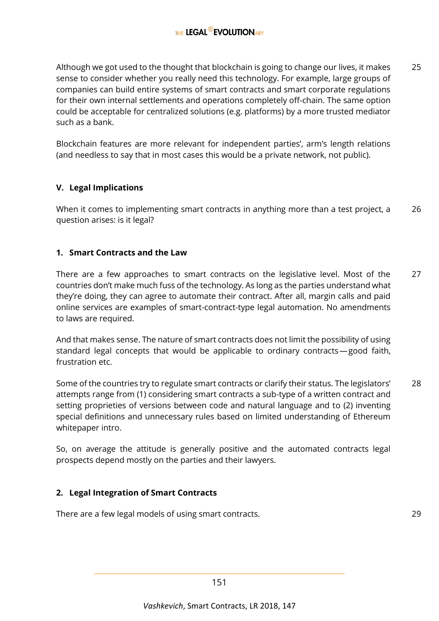Although we got used to the thought that blockchain is going to change our lives, it makes sense to consider whether you really need this technology. For example, large groups of companies can build entire systems of smart contracts and smart corporate regulations for their own internal settlements and operations completely off-chain. The same option could be acceptable for centralized solutions (e.g. platforms) by a more trusted mediator such as a bank. 25

Blockchain features are more relevant for independent parties', arm's length relations (and needless to say that in most cases this would be a private network, not public).

## **V. Legal Implications**

When it comes to implementing smart contracts in anything more than a test project, a question arises: is it legal? 26

### **1. Smart Contracts and the Law**

There are a few approaches to smart contracts on the legislative level. Most of the countries don't make much fuss of the technology. As long as the parties understand what they're doing, they can agree to automate their contract. After all, margin calls and paid online services are examples of smart-contract-type legal automation. No amendments to laws are required. 27

And that makes sense. The nature of smart contracts does not limit the possibility of using standard legal concepts that would be applicable to ordinary contracts — good faith, frustration etc.

Some of the countries try to regulate smart contracts or clarify their status. The legislators' attempts range from (1) considering smart contracts a sub-type of a written contract and setting proprieties of versions between code and natural language and to (2) inventing special definitions and unnecessary rules based on limited understanding of Ethereum whitepaper intro. 28

So, on average the attitude is generally positive and the automated contracts legal prospects depend mostly on the parties and their lawyers.

#### **2. Legal Integration of Smart Contracts**

There are a few legal models of using smart contracts. 29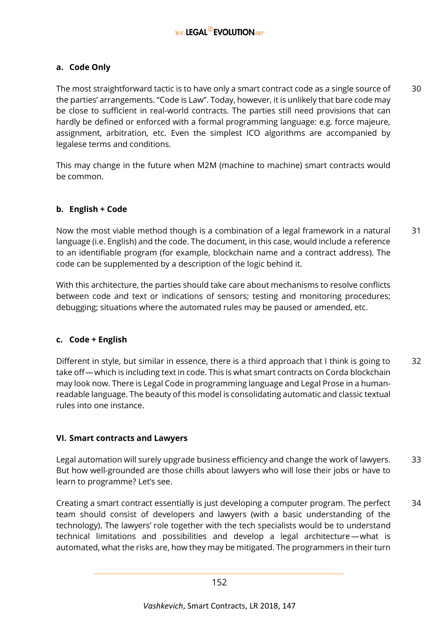#### **a. Code Only**

The most straightforward tactic is to have only a smart contract code as a single source of the parties' arrangements. "Code is Law". Today, however, it is unlikely that bare code may be close to sufficient in real-world contracts. The parties still need provisions that can hardly be defined or enforced with a formal programming language: e.g. force majeure, assignment, arbitration, etc. Even the simplest ICO algorithms are accompanied by legalese terms and conditions. 30

This may change in the future when M2M (machine to machine) smart contracts would be common.

#### **b. English + Code**

Now the most viable method though is a combination of a legal framework in a natural language (i.e. English) and the code. The document, in this case, would include a reference to an identifiable program (for example, blockchain name and a contract address). The code can be supplemented by a description of the logic behind it. 31

With this architecture, the parties should take care about mechanisms to resolve conflicts between code and text or indications of sensors; testing and monitoring procedures; debugging; situations where the automated rules may be paused or amended, etc.

#### **c. Code + English**

Different in style, but similar in essence, there is a third approach that I think is going to take off—which is including text in code. This is what smart contracts on Corda blockchain may look now. There is Legal Code in programming language and Legal Prose in a humanreadable language. The beauty of this model is consolidating automatic and classic textual rules into one instance. 32

#### **VI. Smart contracts and Lawyers**

Legal automation will surely upgrade business efficiency and change the work of lawyers. But how well-grounded are those chills about lawyers who will lose their jobs or have to learn to programme? Let's see. 33

Creating a smart contract essentially is just developing a computer program. The perfect team should consist of developers and lawyers (with a basic understanding of the technology). The lawyers' role together with the tech specialists would be to understand technical limitations and possibilities and develop a legal architecture — what is automated, what the risks are, how they may be mitigated. The programmers in their turn 34